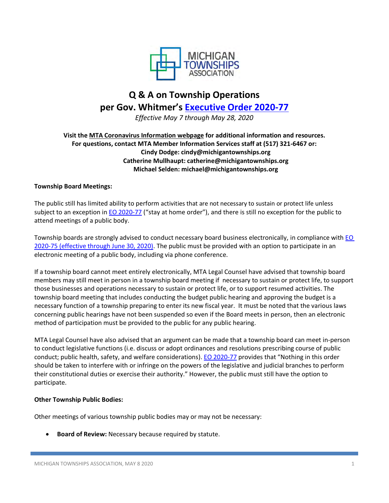

# **Q & A on Township Operations per Gov. Whitmer's [Executive Order 2020-77](https://content.govdelivery.com/attachments/MIEOG/2020/05/07/file_attachments/1446124/EO%202020-77.pdf)**

*Effective May 7 through May 28, 2020*

**Visit the [MTA Coronavirus Information webpage](https://www.michigantownships.org/coronavirus.asp) for additional information and resources. For questions, contact MTA Member Information Services staff at (517) 321-6467 or: Cindy Dodge: cindy@michigantownships.org Catherine Mullhaupt: catherine@michigantownships.org Michael Selden: michael@michigantownships.org**

# **Township Board Meetings:**

The public still has limited ability to perform activities that are not necessary to sustain or protect life unless subject to an exception in [EO 2020-77](https://content.govdelivery.com/attachments/MIEOG/2020/05/07/file_attachments/1446124/EO%202020-77.pdf) ("stay at home order"), and there is still no exception for the public to attend meetings of a public body.

Township boards are strongly advised to conduct necessary board business electronically, in compliance with EO [2020-75](https://www.michigan.gov/documents/coronavirus/EO_2020-75_Emerg_order_-_OMA_-_re-issue_final_signed_689757_7.pdf) (effective through June 30, 2020). The public must be provided with an option to participate in an electronic meeting of a public body, including via phone conference.

If a township board cannot meet entirely electronically, MTA Legal Counsel have advised that township board members may still meet in person in a township board meeting if necessary to sustain or protect life, to support those businesses and operations necessary to sustain or protect life, or to support resumed activities. The township board meeting that includes conducting the budget public hearing and approving the budget is a necessary function of a township preparing to enter its new fiscal year. It must be noted that the various laws concerning public hearings have not been suspended so even if the Board meets in person, then an electronic method of participation must be provided to the public for any public hearing.

MTA Legal Counsel have also advised that an argument can be made that a township board can meet in-person to conduct legislative functions (i.e. discuss or adopt ordinances and resolutions prescribing course of public conduct; public health, safety, and welfare considerations). [EO 2020-77](https://content.govdelivery.com/attachments/MIEOG/2020/05/07/file_attachments/1446124/EO%202020-77.pdf) provides that "Nothing in this order should be taken to interfere with or infringe on the powers of the legislative and judicial branches to perform their constitutional duties or exercise their authority." However, the public must still have the option to participate.

## **Other Township Public Bodies:**

Other meetings of various township public bodies may or may not be necessary:

• **Board of Review:** Necessary because required by statute.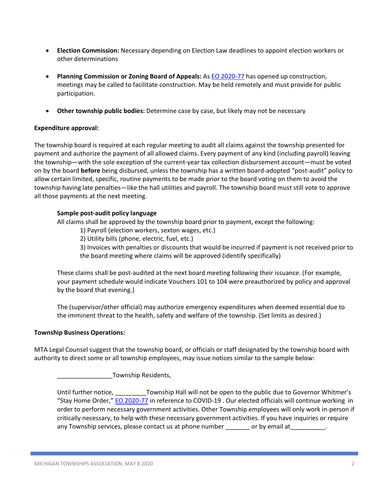- **Election Commission:** Necessary depending on Election Law deadlines to appoint election workers or other determinations
- **Planning Commission or Zoning Board of Appeals:** As [EO 2020-77](https://content.govdelivery.com/attachments/MIEOG/2020/05/07/file_attachments/1446124/EO%202020-77.pdf) has opened up construction, meetings may be called to facilitate construction. May be held remotely and must provide for public participation.
- **Other township public bodies:** Determine case by case, but likely may not be necessary

## **Expenditure approval:**

The township board is required at each regular meeting to audit all claims against the township presented for payment and authorize the payment of all allowed claims. Every payment of any kind (including payroll) leaving the township—with the sole exception of the current-year tax collection disbursement account—must be voted on by the board **before** being disbursed, unless the township has a written board-adopted "post-audit" policy to allow certain limited, specific, routine payments to be made prior to the board voting on them to avoid the township having late penalties—like the hall utilities and payroll. The township board must still vote to approve all those payments at the next meeting.

## **Sample post-audit policy language**

All claims shall be approved by the township board prior to payment, except the following:

1) Payroll (election workers, sexton wages, etc.)

2) Utility bills (phone, electric, fuel, etc.)

3) Invoices with penalties or discounts that would be incurred if payment is not received prior to the board meeting where claims will be approved (identify specifically)

These claims shall be post-audited at the next board meeting following their issuance. (For example, your payment schedule would indicate Vouchers 101 to 104 were preauthorized by policy and approval by the board that evening.)

The (supervisor/other official) may authorize emergency expenditures when deemed essential due to the imminent threat to the health, safety and welfare of the township. (Set limits as desired.)

## **Township Business Operations:**

MTA Legal Counsel suggest that the township board, or officials or staff designated by the township board with authority to direct some or all township employees, may issue notices similar to the sample below:

Township Residents,

Until further notice, \_\_\_\_\_\_\_\_\_Township Hall will not be open to the public due to Governor Whitmer's "Stay Home Order," [EO 2020-77](https://content.govdelivery.com/attachments/MIEOG/2020/05/07/file_attachments/1446124/EO%202020-77.pdf) in reference to COVID-19 . Our elected officials will continue working in order to perform necessary government activities. Other Township employees will only work in-person if critically necessary, to help with these necessary government activities. If you have inquiries or require any Township services, please contact us at phone number \_\_\_\_\_\_\_\_\_ or by email at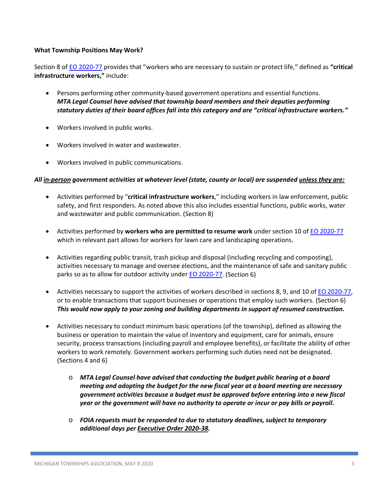## **What Township Positions May Work?**

Section 8 of [EO 2020-77](https://content.govdelivery.com/attachments/MIEOG/2020/05/07/file_attachments/1446124/EO%202020-77.pdf) provides that "workers who are necessary to sustain or protect life," defined as **"critical infrastructure workers,"** include:

- Persons performing other community-based government operations and essential functions. *MTA Legal Counsel have advised that township board members and their deputies performing statutory duties of their board offices fall into this category and are "critical infrastructure workers."*
- Workers involved in public works.
- Workers involved in water and wastewater.
- Workers involved in public communications.

## *All in-person government activities at whatever level (state, county or local) are suspended unless they are:*

- Activities performed by "**critical infrastructure workers**," including workers in law enforcement, public safety, and first responders. As noted above this also includes essential functions, public works, water and wastewater and public communication. (Section 8)
- Activities performed by **workers who are permitted to resume work** under section 10 of [EO 2020-77](https://content.govdelivery.com/attachments/MIEOG/2020/05/07/file_attachments/1446124/EO%202020-77.pdf) which in relevant part allows for workers for lawn care and landscaping operations.
- Activities regarding public transit, trash pickup and disposal (including recycling and composting), activities necessary to manage and oversee elections, and the maintenance of safe and sanitary public parks so as to allow for outdoor activity under **EO 2020-77**. (Section 6)
- Activities necessary to support the activities of workers described in sections 8, 9, and 10 of [EO 2020-77,](https://content.govdelivery.com/attachments/MIEOG/2020/05/07/file_attachments/1446124/EO%202020-77.pdf) or to enable transactions that support businesses or operations that employ such workers. (Section 6) *This would now apply to your zoning and building departments in support of resumed construction.*
- Activities necessary to conduct minimum basic operations (of the township), defined as allowing the business or operation to maintain the value of inventory and equipment, care for animals, ensure security, process transactions (including payroll and employee benefits), or facilitate the ability of other workers to work remotely. Government workers performing such duties need not be designated. (Sections 4 and 6)
	- o *MTA Legal Counsel have advised that conducting the budget public hearing at a board meeting and adopting the budget for the new fiscal year at a board meeting are necessary government activities because a budget must be approved before entering into a new fiscal year or the government will have no authority to operate or incur or pay bills or payroll.*
	- o *FOIA requests must be responded to due to statutory deadlines, subject to temporary additional days pe[r Executive Order 2020-38.](https://www.michigan.gov/whitmer/0,9309,7-387-90499_90705-524359--,00.html)*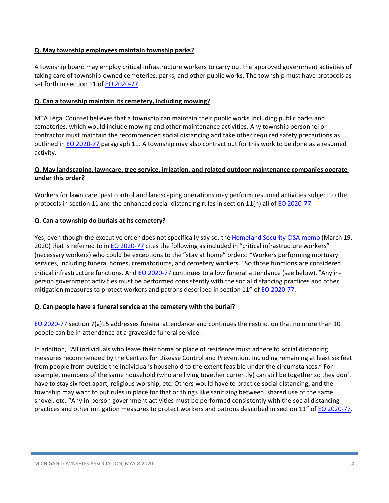## **Q. May township employees maintain township parks?**

A township board may employ critical infrastructure workers to carry out the approved government activities of taking care of township-owned cemeteries, parks, and other public works. The township must have protocols as set forth in section 11 of [EO 2020-77.](https://content.govdelivery.com/attachments/MIEOG/2020/05/07/file_attachments/1446124/EO%202020-77.pdf)

## **Q. Can a township maintain its cemetery, including mowing?**

MTA Legal Counsel believes that a township can maintain their public works including public parks and cemeteries, which would include mowing and other maintenance activities. Any township personnel or contractor must maintain the recommended social distancing and take other required safety precautions as outlined i[n EO 2020-77](https://content.govdelivery.com/attachments/MIEOG/2020/05/07/file_attachments/1446124/EO%202020-77.pdf) paragraph 11. A township may also contract out for this work to be done as a resumed activity.

## **Q. May landscaping, lawncare, tree service, irrigation, and related outdoor maintenance companies operate under this order?**

Workers for lawn care, pest control and landscaping operations may perform resumed activities subject to the protocols in section 11 and the enhanced social-distancing rules in section 11(h) all of [EO 2020-77](https://content.govdelivery.com/attachments/MIEOG/2020/05/07/file_attachments/1446124/EO%202020-77.pdf)

## **Q. Can a township do burials at its cemetery?**

Yes, even though the executive order does not specifically say so, the [Homeland Security CISA memo \(](https://www.cisa.gov/sites/default/files/publications/CISA-Guidance-on-Essential-Critical-Infrastructure-Workers-1-20-508c.pdf)March 19, 2020) that is referred to in [EO 2020-77](https://content.govdelivery.com/attachments/MIEOG/2020/05/07/file_attachments/1446124/EO%202020-77.pdf) cites the following as included in "critical infrastructure workers" (necessary workers) who could be exceptions to the "stay at home" orders: "Workers performing mortuary services, including funeral homes, crematoriums, and cemetery workers." So those functions are considered critical infrastructure functions. And [EO 2020-77](https://content.govdelivery.com/attachments/MIEOG/2020/05/07/file_attachments/1446124/EO%202020-77.pdf) continues to allow funeral attendance (see below). "Any inperson government activities must be performed consistently with the social distancing practices and other mitigation measures to protect workers and patrons described in section 11" of [EO 2020-77.](https://content.govdelivery.com/attachments/MIEOG/2020/05/07/file_attachments/1446124/EO%202020-77.pdf)

## **Q. Can people have a funeral service at the cemetery with the burial?**

[EO 2020-77](https://content.govdelivery.com/attachments/MIEOG/2020/05/07/file_attachments/1446124/EO%202020-77.pdf) section 7(a)15 addresses funeral attendance and continues the restriction that no more than 10 people can be in attendance at a graveside funeral service.

In addition, "All individuals who leave their home or place of residence must adhere to social distancing measures recommended by the Centers for Disease Control and Prevention, including remaining at least six feet from people from outside the individual's household to the extent feasible under the circumstances." For example, members of the same household (who are living together currently) can still be together so they don't have to stay six feet apart, religious worship, etc. Others would have to practice social distancing, and the township may want to put rules in place for that or things like sanitizing between shared use of the same shovel, etc. "Any in-person government activities must be performed consistently with the social distancing practices and other mitigation measures to protect workers and patrons described in section 11" o[f EO 2020-77.](https://content.govdelivery.com/attachments/MIEOG/2020/05/07/file_attachments/1446124/EO%202020-77.pdf)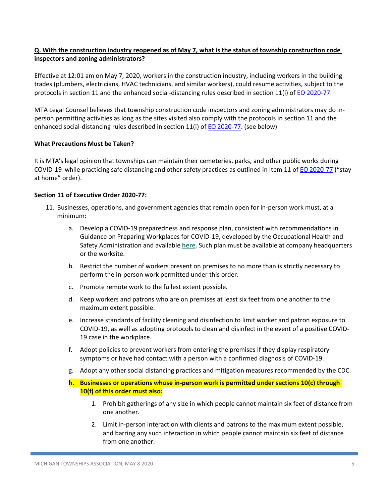## **Q. With the construction industry reopened as of May 7, what is the status of township construction code inspectors and zoning administrators?**

Effective at 12:01 am on May 7, 2020, workers in the construction industry, including workers in the building trades (plumbers, electricians, HVAC technicians, and similar workers), could resume activities, subject to the protocols in section 11 and the enhanced social-distancing rules described in section 11(i) of [EO 2020-77.](https://content.govdelivery.com/attachments/MIEOG/2020/05/07/file_attachments/1446124/EO%202020-77.pdf)

MTA Legal Counsel believes that township construction code inspectors and zoning administrators may do inperson permitting activities as long as the sites visited also comply with the protocols in section 11 and the enhanced social-distancing rules described in section 11(i) of [EO 2020-77.](https://content.govdelivery.com/attachments/MIEOG/2020/05/07/file_attachments/1446124/EO%202020-77.pdf) (see below)

## **What Precautions Must be Taken?**

It is MTA's legal opinion that townships can maintain their cemeteries, parks, and other public works during COVID-19 while practicing safe distancing and other safety practices as outlined in Item 11 of **EO 2020-77** ("stay at home" order).

## **Section 11 of Executive Order 2020-77:**

- 11. Businesses, operations, and government agencies that remain open for in-person work must, at a minimum:
	- a. Develop a COVID-19 preparedness and response plan, consistent with recommendations in Guidance on Preparing Workplaces for COVID-19, developed by the Occupational Health and Safety Administration and available **[here](https://www.osha.gov/Publications/OSHA3990.pdf)**. Such plan must be available at company headquarters or the worksite.
	- b. Restrict the number of workers present on premises to no more than is strictly necessary to perform the in-person work permitted under this order.
	- c. Promote remote work to the fullest extent possible.
	- d. Keep workers and patrons who are on premises at least six feet from one another to the maximum extent possible.
	- e. Increase standards of facility cleaning and disinfection to limit worker and patron exposure to COVID-19, as well as adopting protocols to clean and disinfect in the event of a positive COVID-19 case in the workplace.
	- f. Adopt policies to prevent workers from entering the premises if they display respiratory symptoms or have had contact with a person with a confirmed diagnosis of COVID-19.
	- g. Adopt any other social distancing practices and mitigation measures recommended by the CDC.

# **h. Businesses or operations whose in-person work is permitted under sections 10(c) through 10(f) of this order must also:**

- 1. Prohibit gatherings of any size in which people cannot maintain six feet of distance from one another.
- 2. Limit in-person interaction with clients and patrons to the maximum extent possible, and barring any such interaction in which people cannot maintain six feet of distance from one another.